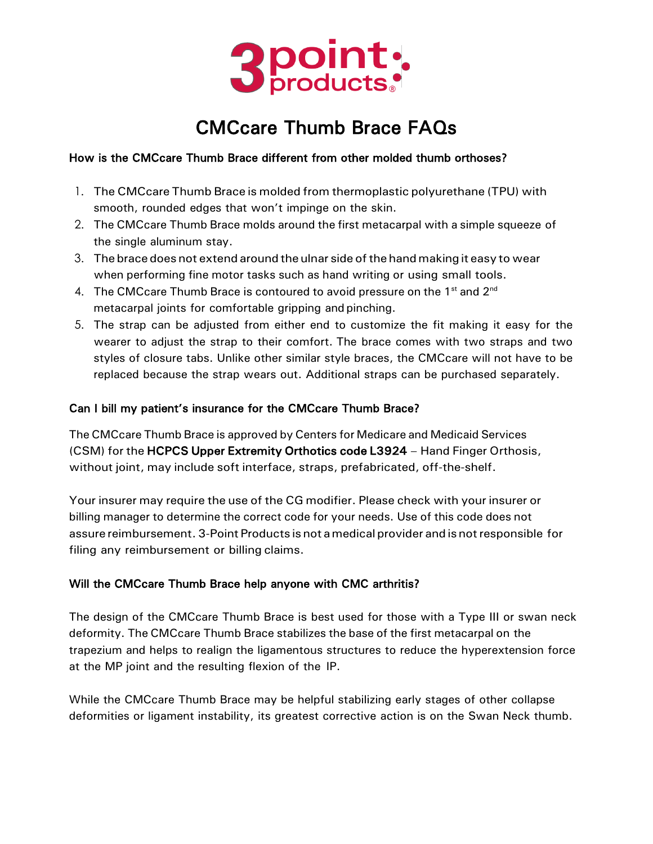

# CMCcare Thumb Brace FAQs

#### How is the CMCcare Thumb Brace different from other molded thumb orthoses?

- 1. The CMCcare Thumb Brace is molded from thermoplastic polyurethane (TPU) with smooth, rounded edges that won't impinge on the skin.
- 2. The CMCcare Thumb Brace molds around the first metacarpal with a simple squeeze of the single aluminum stay.
- 3. The brace does not extend around the ulnar side ofthe hand making it easy to wear when performing fine motor tasks such as hand writing or using small tools.
- 4. The CMCcare Thumb Brace is contoured to avoid pressure on the  $1<sup>st</sup>$  and  $2<sup>nd</sup>$ metacarpal joints for comfortable gripping and pinching.
- 5. The strap can be adjusted from either end to customize the fit making it easy for the wearer to adjust the strap to their comfort. The brace comes with two straps and two styles of closure tabs. Unlike other similar style braces, the CMCcare will not have to be replaced because the strap wears out. Additional straps can be purchased separately.

#### Can I bill my patient's insurance for the CMCcare Thumb Brace?

The CMCcare Thumb Brace is approved by Centers for Medicare and Medicaid Services (CSM) for the HCPCS Upper Extremity Orthotics code L3924 - Hand Finger Orthosis, without joint, may include soft interface, straps, prefabricated, off-the-shelf.

Your insurer may require the use of the CG modifier. Please check with your insurer or billing manager to determine the correct code for your needs. Use of this code does not assure reimbursement.3-Point Products is not amedical provider and is notresponsible for filing any reimbursement or billing claims.

#### Will the CMCcare Thumb Brace help anyone with CMC arthritis?

The design of the CMCcare Thumb Brace is best used for those with a Type III or swan neck deformity. The CMCcare Thumb Brace stabilizes the base of the first metacarpal on the trapezium and helps to realign the ligamentous structures to reduce the hyperextension force at the MP joint and the resulting flexion of the IP.

While the CMCcare Thumb Brace may be helpful stabilizing early stages of other collapse deformities or ligament instability, its greatest corrective action is on the Swan Neck thumb.